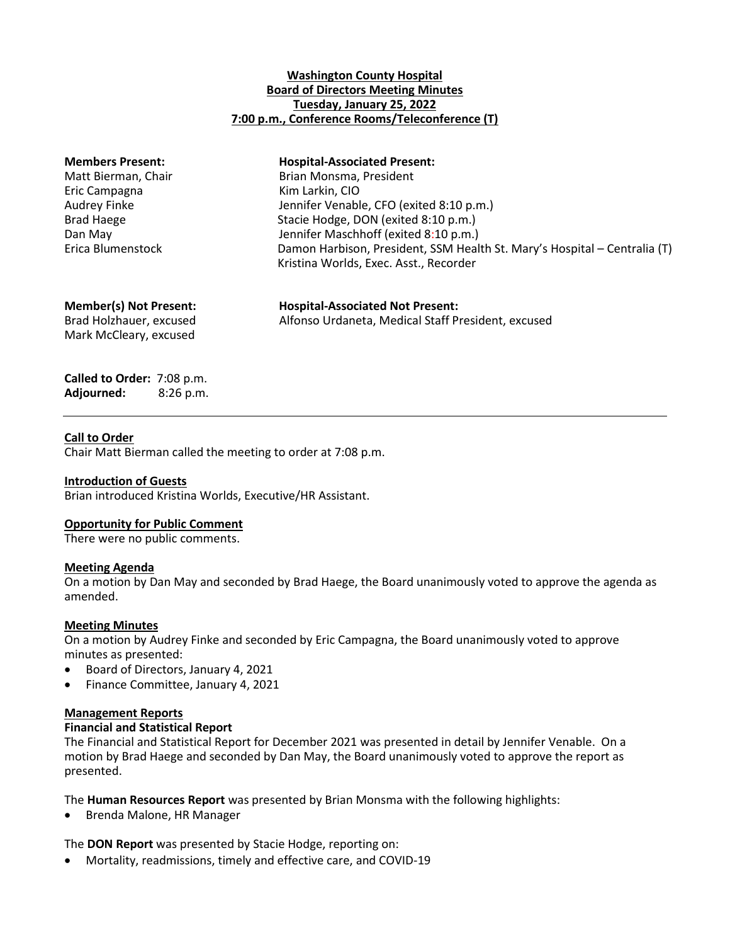# **Washington County Hospital Board of Directors Meeting Minutes Tuesday, January 25, 2022 7:00 p.m., Conference Rooms/Teleconference (T)**

| <b>Members Present:</b>       | <b>Hospital-Associated Present:</b>                                                                                 |
|-------------------------------|---------------------------------------------------------------------------------------------------------------------|
| Matt Bierman, Chair           | Brian Monsma, President                                                                                             |
| Eric Campagna                 | Kim Larkin, CIO                                                                                                     |
| Audrey Finke                  | Jennifer Venable, CFO (exited 8:10 p.m.)                                                                            |
| <b>Brad Haege</b>             | Stacie Hodge, DON (exited 8:10 p.m.)                                                                                |
| Dan May                       | Jennifer Maschhoff (exited 8:10 p.m.)                                                                               |
| Erica Blumenstock             | Damon Harbison, President, SSM Health St. Mary's Hospital - Centralia (T)<br>Kristina Worlds, Exec. Asst., Recorder |
| <b>Member(s) Not Present:</b> | <b>Hospital-Associated Not Present:</b>                                                                             |
| Brad Holzhauer, excused       | Alfonso Urdaneta, Medical Staff President, excused                                                                  |

Mark McCleary, excused

**Called to Order:** 7:08 p.m. **Adjourned:** 8:26 p.m.

# **Call to Order**

Chair Matt Bierman called the meeting to order at 7:08 p.m.

# **Introduction of Guests**

Brian introduced Kristina Worlds, Executive/HR Assistant.

# **Opportunity for Public Comment**

There were no public comments.

# **Meeting Agenda**

On a motion by Dan May and seconded by Brad Haege, the Board unanimously voted to approve the agenda as amended.

# **Meeting Minutes**

On a motion by Audrey Finke and seconded by Eric Campagna, the Board unanimously voted to approve minutes as presented:

- Board of Directors, January 4, 2021
- Finance Committee, January 4, 2021

# **Management Reports**

# **Financial and Statistical Report**

The Financial and Statistical Report for December 2021 was presented in detail by Jennifer Venable. On a motion by Brad Haege and seconded by Dan May, the Board unanimously voted to approve the report as presented.

The **Human Resources Report** was presented by Brian Monsma with the following highlights:

Brenda Malone, HR Manager

The **DON Report** was presented by Stacie Hodge, reporting on:

Mortality, readmissions, timely and effective care, and COVID-19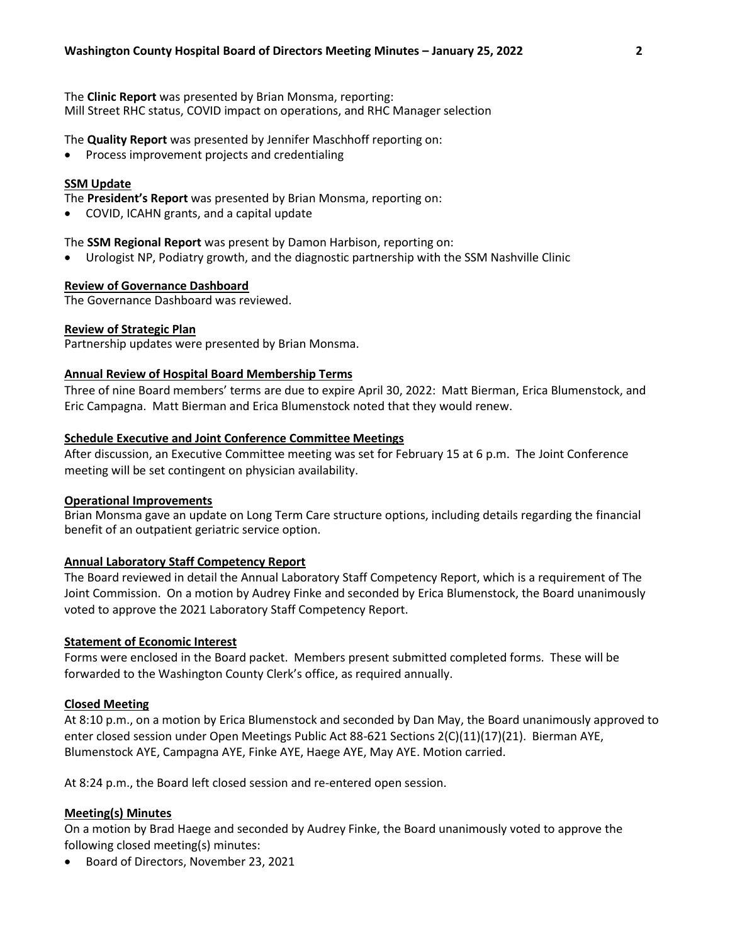The **Clinic Report** was presented by Brian Monsma, reporting: Mill Street RHC status, COVID impact on operations, and RHC Manager selection

The **Quality Report** was presented by Jennifer Maschhoff reporting on:

Process improvement projects and credentialing

### **SSM Update**

The **President's Report** was presented by Brian Monsma, reporting on:

COVID, ICAHN grants, and a capital update

The **SSM Regional Report** was present by Damon Harbison, reporting on:

Urologist NP, Podiatry growth, and the diagnostic partnership with the SSM Nashville Clinic

### **Review of Governance Dashboard**

The Governance Dashboard was reviewed.

### **Review of Strategic Plan**

Partnership updates were presented by Brian Monsma.

### **Annual Review of Hospital Board Membership Terms**

Three of nine Board members' terms are due to expire April 30, 2022: Matt Bierman, Erica Blumenstock, and Eric Campagna. Matt Bierman and Erica Blumenstock noted that they would renew.

### **Schedule Executive and Joint Conference Committee Meetings**

After discussion, an Executive Committee meeting was set for February 15 at 6 p.m. The Joint Conference meeting will be set contingent on physician availability.

#### **Operational Improvements**

Brian Monsma gave an update on Long Term Care structure options, including details regarding the financial benefit of an outpatient geriatric service option.

# **Annual Laboratory Staff Competency Report**

The Board reviewed in detail the Annual Laboratory Staff Competency Report, which is a requirement of The Joint Commission. On a motion by Audrey Finke and seconded by Erica Blumenstock, the Board unanimously voted to approve the 2021 Laboratory Staff Competency Report.

### **Statement of Economic Interest**

Forms were enclosed in the Board packet. Members present submitted completed forms. These will be forwarded to the Washington County Clerk's office, as required annually.

# **Closed Meeting**

At 8:10 p.m., on a motion by Erica Blumenstock and seconded by Dan May, the Board unanimously approved to enter closed session under Open Meetings Public Act 88-621 Sections 2(C)(11)(17)(21). Bierman AYE, Blumenstock AYE, Campagna AYE, Finke AYE, Haege AYE, May AYE. Motion carried.

At 8:24 p.m., the Board left closed session and re-entered open session.

# **Meeting(s) Minutes**

On a motion by Brad Haege and seconded by Audrey Finke, the Board unanimously voted to approve the following closed meeting(s) minutes:

Board of Directors, November 23, 2021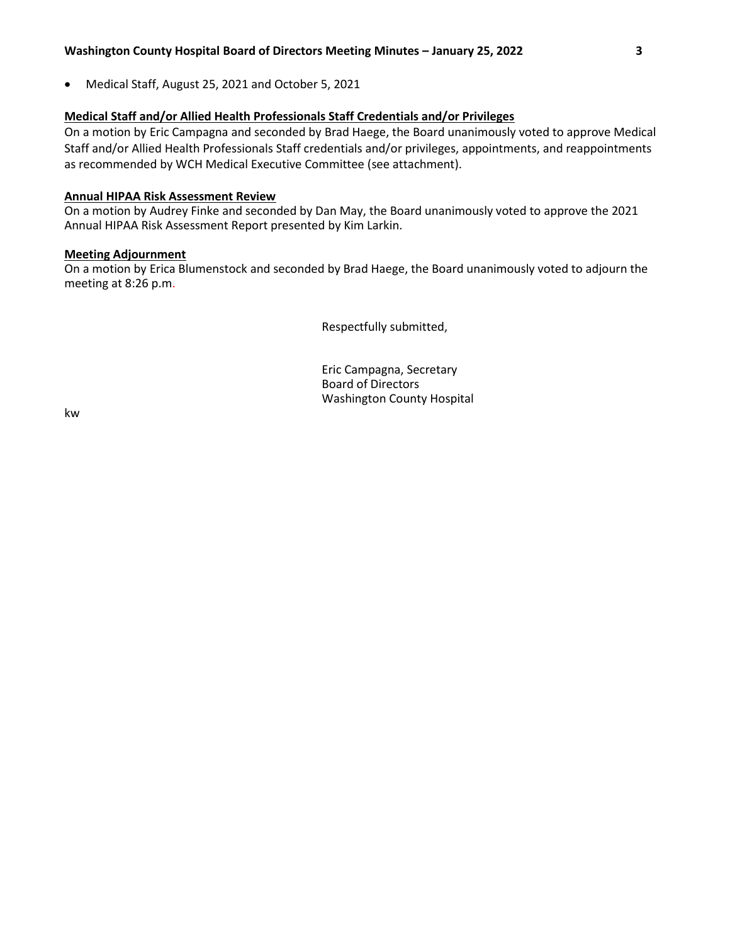Medical Staff, August 25, 2021 and October 5, 2021

# **Medical Staff and/or Allied Health Professionals Staff Credentials and/or Privileges**

On a motion by Eric Campagna and seconded by Brad Haege, the Board unanimously voted to approve Medical Staff and/or Allied Health Professionals Staff credentials and/or privileges, appointments, and reappointments as recommended by WCH Medical Executive Committee (see attachment).

# **Annual HIPAA Risk Assessment Review**

On a motion by Audrey Finke and seconded by Dan May, the Board unanimously voted to approve the 2021 Annual HIPAA Risk Assessment Report presented by Kim Larkin.

# **Meeting Adjournment**

On a motion by Erica Blumenstock and seconded by Brad Haege, the Board unanimously voted to adjourn the meeting at 8:26 p.m.

Respectfully submitted,

Eric Campagna, Secretary Board of Directors Washington County Hospital

kw